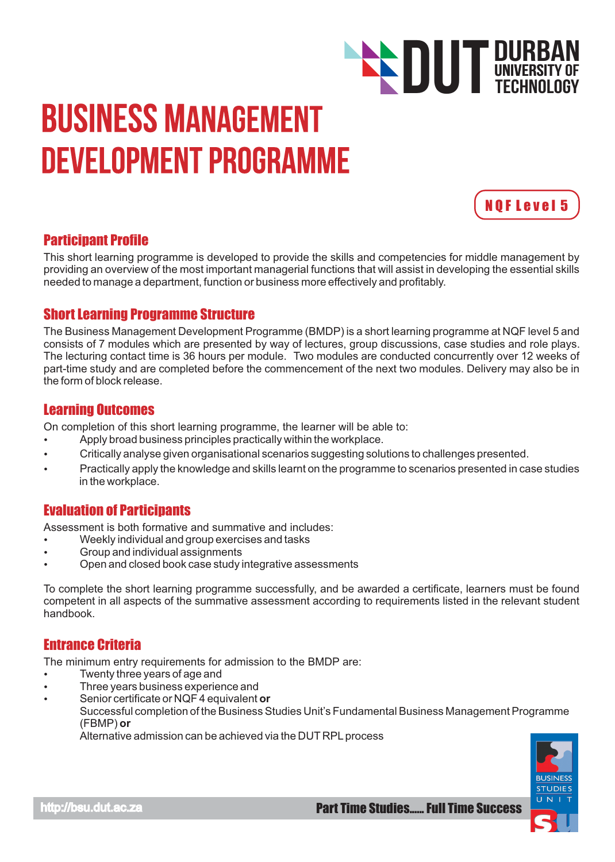# Business Management Development Programme



TECHNOLOGY

**DUT DURBAN**<br>TECHNOLOGY

# Participant Profile

This short learning programme is developed to provide the skills and competencies for middle management by providing an overview of the most important managerial functions that will assist in developing the essential skills needed to manage a department, function or business more effectively and profitably.

# Short Learning Programme Structure

The Business Management Development Programme (BMDP) is a short learning programme at NQF level 5 and consists of 7 modules which are presented by way of lectures, group discussions, case studies and role plays. The lecturing contact time is 36 hours per module. Two modules are conducted concurrently over 12 weeks of part-time study and are completed before the commencement of the next two modules. Delivery may also be in the form of block release.

#### Learning Outcomes

On completion of this short learning programme, the learner will be able to:

- Apply broad business principles practically within the workplace. Ÿ
- Critically analyse given organisational scenarios suggesting solutions to challenges presented.
- Practically apply the knowledge and skills learnt on the programme to scenarios presented in case studies in the workplace.

# Evaluation of Participants

Assessment is both formative and summative and includes:

- Weekly individual and group exercises and tasks
- Group and individual assignments
- Open and closed book case study integrative assessments

To complete the short learning programme successfully, and be awarded a certificate, learners must be found competent in all aspects of the summative assessment according to requirements listed in the relevant student handbook.

## Entrance Criteria

The minimum entry requirements for admission to the BMDP are:

- Twenty three years of age and
- Three years business experience and
- Senior certificate or NQF 4 equivalent or
	- Successful completion of the Business Studies Unit's Fundamental Business Management Programme (FBMP) **or**

Alternative admission can be achieved via the DUT RPL process